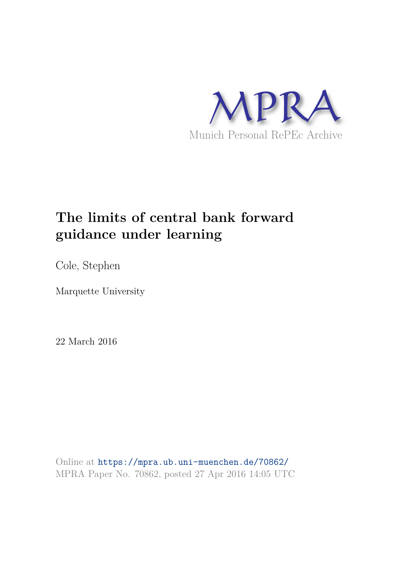

# **The limits of central bank forward guidance under learning**

Cole, Stephen

Marquette University

22 March 2016

Online at https://mpra.ub.uni-muenchen.de/70862/ MPRA Paper No. 70862, posted 27 Apr 2016 14:05 UTC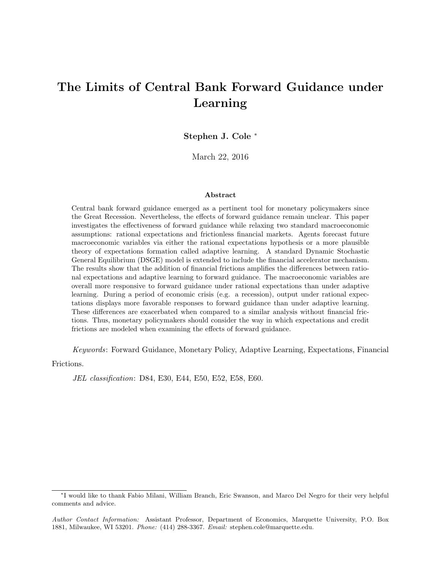## The Limits of Central Bank Forward Guidance under Learning

Stephen J. Cole <sup>∗</sup>

March 22, 2016

#### Abstract

Central bank forward guidance emerged as a pertinent tool for monetary policymakers since the Great Recession. Nevertheless, the effects of forward guidance remain unclear. This paper investigates the effectiveness of forward guidance while relaxing two standard macroeconomic assumptions: rational expectations and frictionless financial markets. Agents forecast future macroeconomic variables via either the rational expectations hypothesis or a more plausible theory of expectations formation called adaptive learning. A standard Dynamic Stochastic General Equilibrium (DSGE) model is extended to include the financial accelerator mechanism. The results show that the addition of financial frictions amplifies the differences between rational expectations and adaptive learning to forward guidance. The macroeconomic variables are overall more responsive to forward guidance under rational expectations than under adaptive learning. During a period of economic crisis (e.g. a recession), output under rational expectations displays more favorable responses to forward guidance than under adaptive learning. These differences are exacerbated when compared to a similar analysis without financial frictions. Thus, monetary policymakers should consider the way in which expectations and credit frictions are modeled when examining the effects of forward guidance.

Keywords: Forward Guidance, Monetary Policy, Adaptive Learning, Expectations, Financial

Frictions.

JEL classification: D84, E30, E44, E50, E52, E58, E60.

<sup>∗</sup> I would like to thank Fabio Milani, William Branch, Eric Swanson, and Marco Del Negro for their very helpful comments and advice.

Author Contact Information: Assistant Professor, Department of Economics, Marquette University, P.O. Box 1881, Milwaukee, WI 53201. Phone: (414) 288-3367. Email: stephen.cole@marquette.edu.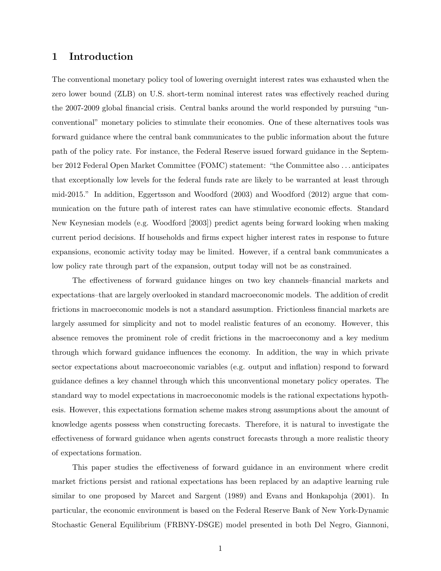### 1 Introduction

The conventional monetary policy tool of lowering overnight interest rates was exhausted when the zero lower bound (ZLB) on U.S. short-term nominal interest rates was effectively reached during the 2007-2009 global financial crisis. Central banks around the world responded by pursuing "unconventional" monetary policies to stimulate their economies. One of these alternatives tools was forward guidance where the central bank communicates to the public information about the future path of the policy rate. For instance, the Federal Reserve issued forward guidance in the September 2012 Federal Open Market Committee (FOMC) statement: "the Committee also . . . anticipates that exceptionally low levels for the federal funds rate are likely to be warranted at least through mid-2015." In addition, Eggertsson and Woodford (2003) and Woodford (2012) argue that communication on the future path of interest rates can have stimulative economic effects. Standard New Keynesian models (e.g. Woodford [2003]) predict agents being forward looking when making current period decisions. If households and firms expect higher interest rates in response to future expansions, economic activity today may be limited. However, if a central bank communicates a low policy rate through part of the expansion, output today will not be as constrained.

The effectiveness of forward guidance hinges on two key channels–financial markets and expectations–that are largely overlooked in standard macroeconomic models. The addition of credit frictions in macroeconomic models is not a standard assumption. Frictionless financial markets are largely assumed for simplicity and not to model realistic features of an economy. However, this absence removes the prominent role of credit frictions in the macroeconomy and a key medium through which forward guidance influences the economy. In addition, the way in which private sector expectations about macroeconomic variables (e.g. output and inflation) respond to forward guidance defines a key channel through which this unconventional monetary policy operates. The standard way to model expectations in macroeconomic models is the rational expectations hypothesis. However, this expectations formation scheme makes strong assumptions about the amount of knowledge agents possess when constructing forecasts. Therefore, it is natural to investigate the effectiveness of forward guidance when agents construct forecasts through a more realistic theory of expectations formation.

This paper studies the effectiveness of forward guidance in an environment where credit market frictions persist and rational expectations has been replaced by an adaptive learning rule similar to one proposed by Marcet and Sargent (1989) and Evans and Honkapohja (2001). In particular, the economic environment is based on the Federal Reserve Bank of New York-Dynamic Stochastic General Equilibrium (FRBNY-DSGE) model presented in both Del Negro, Giannoni,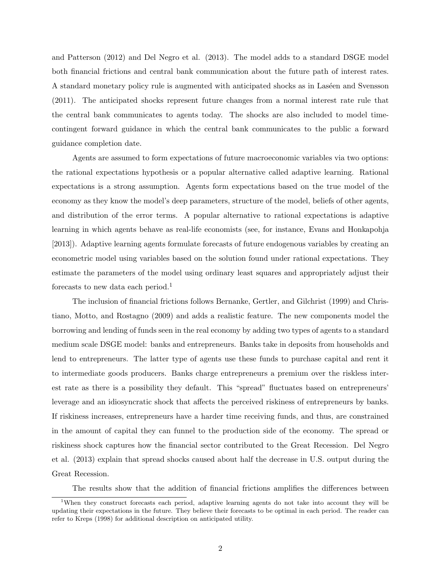and Patterson (2012) and Del Negro et al. (2013). The model adds to a standard DSGE model both financial frictions and central bank communication about the future path of interest rates. A standard monetary policy rule is augmented with anticipated shocks as in Laséen and Svensson (2011). The anticipated shocks represent future changes from a normal interest rate rule that the central bank communicates to agents today. The shocks are also included to model timecontingent forward guidance in which the central bank communicates to the public a forward guidance completion date.

Agents are assumed to form expectations of future macroeconomic variables via two options: the rational expectations hypothesis or a popular alternative called adaptive learning. Rational expectations is a strong assumption. Agents form expectations based on the true model of the economy as they know the model's deep parameters, structure of the model, beliefs of other agents, and distribution of the error terms. A popular alternative to rational expectations is adaptive learning in which agents behave as real-life economists (see, for instance, Evans and Honkapohja [2013]). Adaptive learning agents formulate forecasts of future endogenous variables by creating an econometric model using variables based on the solution found under rational expectations. They estimate the parameters of the model using ordinary least squares and appropriately adjust their forecasts to new data each period.<sup>1</sup>

The inclusion of financial frictions follows Bernanke, Gertler, and Gilchrist (1999) and Christiano, Motto, and Rostagno (2009) and adds a realistic feature. The new components model the borrowing and lending of funds seen in the real economy by adding two types of agents to a standard medium scale DSGE model: banks and entrepreneurs. Banks take in deposits from households and lend to entrepreneurs. The latter type of agents use these funds to purchase capital and rent it to intermediate goods producers. Banks charge entrepreneurs a premium over the riskless interest rate as there is a possibility they default. This "spread" fluctuates based on entrepreneurs' leverage and an idiosyncratic shock that affects the perceived riskiness of entrepreneurs by banks. If riskiness increases, entrepreneurs have a harder time receiving funds, and thus, are constrained in the amount of capital they can funnel to the production side of the economy. The spread or riskiness shock captures how the financial sector contributed to the Great Recession. Del Negro et al. (2013) explain that spread shocks caused about half the decrease in U.S. output during the Great Recession.

The results show that the addition of financial frictions amplifies the differences between

<sup>&</sup>lt;sup>1</sup>When they construct forecasts each period, adaptive learning agents do not take into account they will be updating their expectations in the future. They believe their forecasts to be optimal in each period. The reader can refer to Kreps (1998) for additional description on anticipated utility.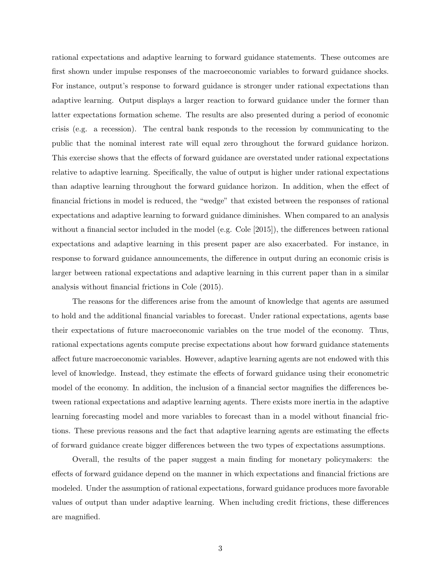rational expectations and adaptive learning to forward guidance statements. These outcomes are first shown under impulse responses of the macroeconomic variables to forward guidance shocks. For instance, output's response to forward guidance is stronger under rational expectations than adaptive learning. Output displays a larger reaction to forward guidance under the former than latter expectations formation scheme. The results are also presented during a period of economic crisis (e.g. a recession). The central bank responds to the recession by communicating to the public that the nominal interest rate will equal zero throughout the forward guidance horizon. This exercise shows that the effects of forward guidance are overstated under rational expectations relative to adaptive learning. Specifically, the value of output is higher under rational expectations than adaptive learning throughout the forward guidance horizon. In addition, when the effect of financial frictions in model is reduced, the "wedge" that existed between the responses of rational expectations and adaptive learning to forward guidance diminishes. When compared to an analysis without a financial sector included in the model (e.g. Cole [2015]), the differences between rational expectations and adaptive learning in this present paper are also exacerbated. For instance, in response to forward guidance announcements, the difference in output during an economic crisis is larger between rational expectations and adaptive learning in this current paper than in a similar analysis without financial frictions in Cole (2015).

The reasons for the differences arise from the amount of knowledge that agents are assumed to hold and the additional financial variables to forecast. Under rational expectations, agents base their expectations of future macroeconomic variables on the true model of the economy. Thus, rational expectations agents compute precise expectations about how forward guidance statements affect future macroeconomic variables. However, adaptive learning agents are not endowed with this level of knowledge. Instead, they estimate the effects of forward guidance using their econometric model of the economy. In addition, the inclusion of a financial sector magnifies the differences between rational expectations and adaptive learning agents. There exists more inertia in the adaptive learning forecasting model and more variables to forecast than in a model without financial frictions. These previous reasons and the fact that adaptive learning agents are estimating the effects of forward guidance create bigger differences between the two types of expectations assumptions.

Overall, the results of the paper suggest a main finding for monetary policymakers: the effects of forward guidance depend on the manner in which expectations and financial frictions are modeled. Under the assumption of rational expectations, forward guidance produces more favorable values of output than under adaptive learning. When including credit frictions, these differences are magnified.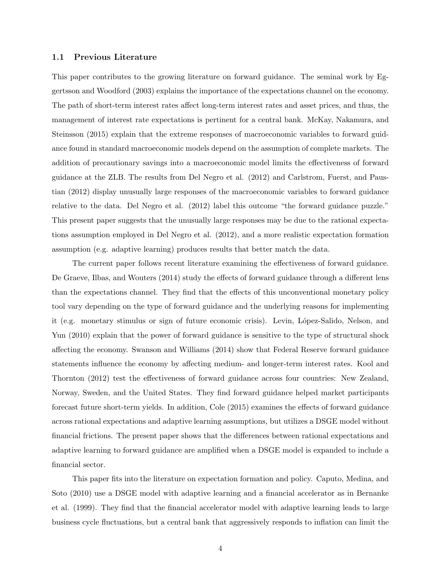#### 1.1 Previous Literature

This paper contributes to the growing literature on forward guidance. The seminal work by Eggertsson and Woodford (2003) explains the importance of the expectations channel on the economy. The path of short-term interest rates affect long-term interest rates and asset prices, and thus, the management of interest rate expectations is pertinent for a central bank. McKay, Nakamura, and Steinsson (2015) explain that the extreme responses of macroeconomic variables to forward guidance found in standard macroeconomic models depend on the assumption of complete markets. The addition of precautionary savings into a macroeconomic model limits the effectiveness of forward guidance at the ZLB. The results from Del Negro et al. (2012) and Carlstrom, Fuerst, and Paustian (2012) display unusually large responses of the macroeconomic variables to forward guidance relative to the data. Del Negro et al. (2012) label this outcome "the forward guidance puzzle." This present paper suggests that the unusually large responses may be due to the rational expectations assumption employed in Del Negro et al. (2012), and a more realistic expectation formation assumption (e.g. adaptive learning) produces results that better match the data.

The current paper follows recent literature examining the effectiveness of forward guidance. De Graeve, Ilbas, and Wouters (2014) study the effects of forward guidance through a different lens than the expectations channel. They find that the effects of this unconventional monetary policy tool vary depending on the type of forward guidance and the underlying reasons for implementing it (e.g. monetary stimulus or sign of future economic crisis). Levin, López-Salido, Nelson, and Yun (2010) explain that the power of forward guidance is sensitive to the type of structural shock affecting the economy. Swanson and Williams (2014) show that Federal Reserve forward guidance statements influence the economy by affecting medium- and longer-term interest rates. Kool and Thornton (2012) test the effectiveness of forward guidance across four countries: New Zealand, Norway, Sweden, and the United States. They find forward guidance helped market participants forecast future short-term yields. In addition, Cole (2015) examines the effects of forward guidance across rational expectations and adaptive learning assumptions, but utilizes a DSGE model without financial frictions. The present paper shows that the differences between rational expectations and adaptive learning to forward guidance are amplified when a DSGE model is expanded to include a financial sector.

This paper fits into the literature on expectation formation and policy. Caputo, Medina, and Soto (2010) use a DSGE model with adaptive learning and a financial accelerator as in Bernanke et al. (1999). They find that the financial accelerator model with adaptive learning leads to large business cycle fluctuations, but a central bank that aggressively responds to inflation can limit the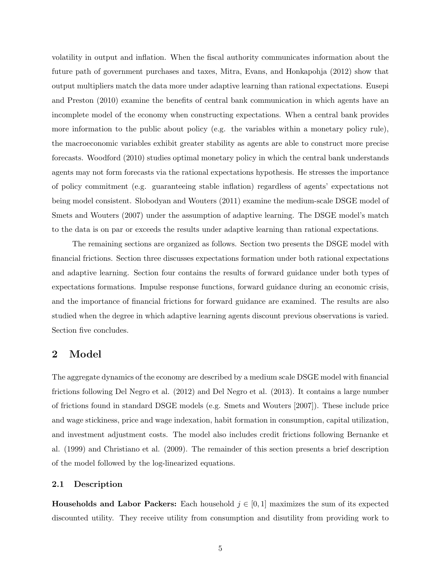volatility in output and inflation. When the fiscal authority communicates information about the future path of government purchases and taxes, Mitra, Evans, and Honkapohja (2012) show that output multipliers match the data more under adaptive learning than rational expectations. Eusepi and Preston (2010) examine the benefits of central bank communication in which agents have an incomplete model of the economy when constructing expectations. When a central bank provides more information to the public about policy (e.g. the variables within a monetary policy rule), the macroeconomic variables exhibit greater stability as agents are able to construct more precise forecasts. Woodford (2010) studies optimal monetary policy in which the central bank understands agents may not form forecasts via the rational expectations hypothesis. He stresses the importance of policy commitment (e.g. guaranteeing stable inflation) regardless of agents' expectations not being model consistent. Slobodyan and Wouters (2011) examine the medium-scale DSGE model of Smets and Wouters (2007) under the assumption of adaptive learning. The DSGE model's match to the data is on par or exceeds the results under adaptive learning than rational expectations.

The remaining sections are organized as follows. Section two presents the DSGE model with financial frictions. Section three discusses expectations formation under both rational expectations and adaptive learning. Section four contains the results of forward guidance under both types of expectations formations. Impulse response functions, forward guidance during an economic crisis, and the importance of financial frictions for forward guidance are examined. The results are also studied when the degree in which adaptive learning agents discount previous observations is varied. Section five concludes.

### 2 Model

The aggregate dynamics of the economy are described by a medium scale DSGE model with financial frictions following Del Negro et al. (2012) and Del Negro et al. (2013). It contains a large number of frictions found in standard DSGE models (e.g. Smets and Wouters [2007]). These include price and wage stickiness, price and wage indexation, habit formation in consumption, capital utilization, and investment adjustment costs. The model also includes credit frictions following Bernanke et al. (1999) and Christiano et al. (2009). The remainder of this section presents a brief description of the model followed by the log-linearized equations.

#### 2.1 Description

**Households and Labor Packers:** Each household  $j \in [0,1]$  maximizes the sum of its expected discounted utility. They receive utility from consumption and disutility from providing work to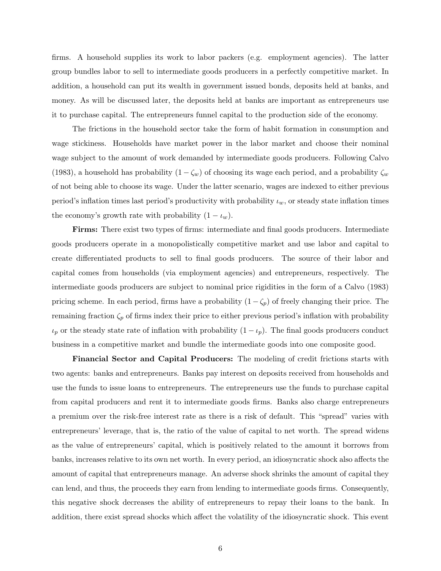firms. A household supplies its work to labor packers (e.g. employment agencies). The latter group bundles labor to sell to intermediate goods producers in a perfectly competitive market. In addition, a household can put its wealth in government issued bonds, deposits held at banks, and money. As will be discussed later, the deposits held at banks are important as entrepreneurs use it to purchase capital. The entrepreneurs funnel capital to the production side of the economy.

The frictions in the household sector take the form of habit formation in consumption and wage stickiness. Households have market power in the labor market and choose their nominal wage subject to the amount of work demanded by intermediate goods producers. Following Calvo (1983), a household has probability  $(1 - \zeta_w)$  of choosing its wage each period, and a probability  $\zeta_w$ of not being able to choose its wage. Under the latter scenario, wages are indexed to either previous period's inflation times last period's productivity with probability  $\iota_w$ , or steady state inflation times the economy's growth rate with probability  $(1 - \iota_w)$ .

Firms: There exist two types of firms: intermediate and final goods producers. Intermediate goods producers operate in a monopolistically competitive market and use labor and capital to create differentiated products to sell to final goods producers. The source of their labor and capital comes from households (via employment agencies) and entrepreneurs, respectively. The intermediate goods producers are subject to nominal price rigidities in the form of a Calvo (1983) pricing scheme. In each period, firms have a probability  $(1-\zeta_p)$  of freely changing their price. The remaining fraction  $\zeta_p$  of firms index their price to either previous period's inflation with probability  $\iota_p$  or the steady state rate of inflation with probability  $(1 - \iota_p)$ . The final goods producers conduct business in a competitive market and bundle the intermediate goods into one composite good.

Financial Sector and Capital Producers: The modeling of credit frictions starts with two agents: banks and entrepreneurs. Banks pay interest on deposits received from households and use the funds to issue loans to entrepreneurs. The entrepreneurs use the funds to purchase capital from capital producers and rent it to intermediate goods firms. Banks also charge entrepreneurs a premium over the risk-free interest rate as there is a risk of default. This "spread" varies with entrepreneurs' leverage, that is, the ratio of the value of capital to net worth. The spread widens as the value of entrepreneurs' capital, which is positively related to the amount it borrows from banks, increases relative to its own net worth. In every period, an idiosyncratic shock also affects the amount of capital that entrepreneurs manage. An adverse shock shrinks the amount of capital they can lend, and thus, the proceeds they earn from lending to intermediate goods firms. Consequently, this negative shock decreases the ability of entrepreneurs to repay their loans to the bank. In addition, there exist spread shocks which affect the volatility of the idiosyncratic shock. This event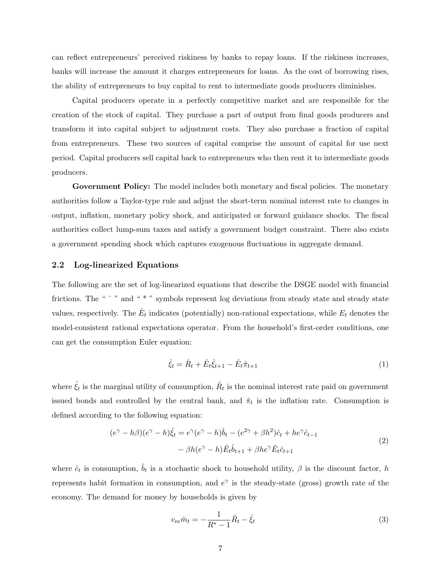can reflect entrepreneurs' perceived riskiness by banks to repay loans. If the riskiness increases, banks will increase the amount it charges entrepreneurs for loans. As the cost of borrowing rises, the ability of entrepreneurs to buy capital to rent to intermediate goods producers diminishes.

Capital producers operate in a perfectly competitive market and are responsible for the creation of the stock of capital. They purchase a part of output from final goods producers and transform it into capital subject to adjustment costs. They also purchase a fraction of capital from entrepreneurs. These two sources of capital comprise the amount of capital for use next period. Capital producers sell capital back to entrepreneurs who then rent it to intermediate goods producers.

Government Policy: The model includes both monetary and fiscal policies. The monetary authorities follow a Taylor-type rule and adjust the short-term nominal interest rate to changes in output, inflation, monetary policy shock, and anticipated or forward guidance shocks. The fiscal authorities collect lump-sum taxes and satisfy a government budget constraint. There also exists a government spending shock which captures exogenous fluctuations in aggregate demand.

#### 2.2 Log-linearized Equations

The following are the set of log-linearized equations that describe the DSGE model with financial frictions. The "  $\hat{ }$  " and "  $\hat{ }$  " symbols represent log deviations from steady state and steady state values, respectively. The  $\hat{E}_t$  indicates (potentially) non-rational expectations, while  $E_t$  denotes the model-consistent rational expectations operator. From the household's first-order conditions, one can get the consumption Euler equation:

$$
\hat{\xi}_t = \hat{R}_t + \hat{E}_t \hat{\xi}_{t+1} - \hat{E}_t \hat{\pi}_{t+1} \tag{1}
$$

where  $\hat{\xi}_t$  is the marginal utility of consumption,  $\hat{R}_t$  is the nominal interest rate paid on government issued bonds and controlled by the central bank, and  $\hat{\pi}_t$  is the inflation rate. Consumption is defined according to the following equation:

$$
(e^{\gamma} - h\beta)(e^{\gamma} - h)\hat{\xi}_t = e^{\gamma}(e^{\gamma} - h)\hat{b}_t - (e^{2\gamma} + \beta h^2)\hat{c}_t + he^{\gamma}\hat{c}_{t-1}
$$
  

$$
- \beta h(e^{\gamma} - h)\hat{E}_t\hat{b}_{t+1} + \beta he^{\gamma}\hat{E}_t\hat{c}_{t+1}
$$
 (2)

where  $\hat{c}_t$  is consumption,  $\hat{b}_t$  is a stochastic shock to household utility,  $\beta$  is the discount factor, h represents habit formation in consumption, and  $e^{\gamma}$  is the steady-state (gross) growth rate of the economy. The demand for money by households is given by

$$
v_m \hat{m}_t = -\frac{1}{R^* - 1} \hat{R}_t - \hat{\xi}_t
$$
\n(3)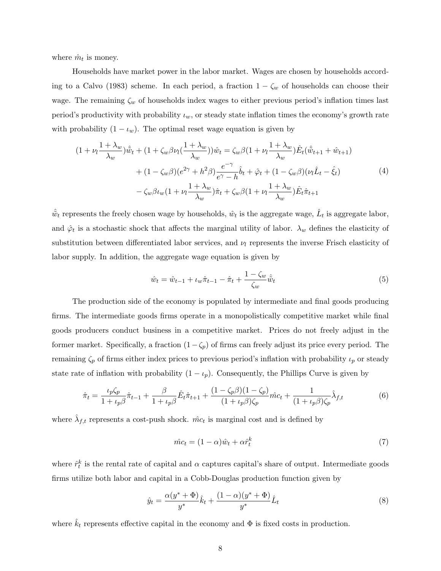where  $\hat{m}_t$  is money.

Households have market power in the labor market. Wages are chosen by households according to a Calvo (1983) scheme. In each period, a fraction  $1 - \zeta_w$  of households can choose their wage. The remaining  $\zeta_w$  of households index wages to either previous period's inflation times last period's productivity with probability  $\iota_w$ , or steady state inflation times the economy's growth rate with probability  $(1 - \iota_w)$ . The optimal reset wage equation is given by

$$
(1 + \nu_l \frac{1 + \lambda_w}{\lambda_w})\hat{\tilde{w}}_t + (1 + \zeta_w \beta \nu_l (\frac{1 + \lambda_w}{\lambda_w}))\hat{w}_t = \zeta_w \beta (1 + \nu_l \frac{1 + \lambda_w}{\lambda_w})\hat{E}_t(\hat{\tilde{w}}_{t+1} + \hat{w}_{t+1})
$$

$$
+ (1 - \zeta_w \beta)(e^{2\gamma} + h^2 \beta) \frac{e^{-\gamma}}{e^{\gamma} - h} \hat{b}_t + \hat{\varphi}_t + (1 - \zeta_w \beta)(\nu_l \hat{L}_t - \hat{\xi}_t)
$$

$$
- \zeta_w \beta \iota_w (1 + \nu_l \frac{1 + \lambda_w}{\lambda_w})\hat{\pi}_t + \zeta_w \beta (1 + \nu_l \frac{1 + \lambda_w}{\lambda_w})\hat{E}_t \hat{\pi}_{t+1}
$$
(4)

 $\hat{\tilde{w}}_t$  represents the freely chosen wage by households,  $\hat{w}_t$  is the aggregate wage,  $\hat{L}_t$  is aggregate labor, and  $\hat{\varphi}_t$  is a stochastic shock that affects the marginal utility of labor.  $\lambda_w$  defines the elasticity of substitution between differentiated labor services, and  $\nu_l$  represents the inverse Frisch elasticity of labor supply. In addition, the aggregate wage equation is given by

$$
\hat{w}_t = \hat{w}_{t-1} + \iota_w \hat{\pi}_{t-1} - \hat{\pi}_t + \frac{1 - \zeta_w}{\zeta_w} \hat{\tilde{w}}_t
$$
\n(5)

The production side of the economy is populated by intermediate and final goods producing firms. The intermediate goods firms operate in a monopolistically competitive market while final goods producers conduct business in a competitive market. Prices do not freely adjust in the former market. Specifically, a fraction  $(1-\zeta_p)$  of firms can freely adjust its price every period. The remaining  $\zeta_p$  of firms either index prices to previous period's inflation with probability  $\iota_p$  or steady state rate of inflation with probability  $(1 - \iota_p)$ . Consequently, the Phillips Curve is given by

$$
\hat{\pi}_t = \frac{\iota_p \zeta_p}{1 + \iota_p \beta} \hat{\pi}_{t-1} + \frac{\beta}{1 + \iota_p \beta} \hat{E}_t \hat{\pi}_{t+1} + \frac{(1 - \zeta_p \beta)(1 - \zeta_p)}{(1 + \iota_p \beta)\zeta_p} \hat{m} c_t + \frac{1}{(1 + \iota_p \beta)\zeta_p} \hat{\lambda}_{f,t}
$$
(6)

where  $\hat{\lambda}_{f,t}$  represents a cost-push shock.  $\hat{mc}_t$  is marginal cost and is defined by

$$
\hat{mc}_t = (1 - \alpha)\hat{w}_t + \alpha \hat{r}_t^k \tag{7}
$$

where  $\hat{r}_t^k$  is the rental rate of capital and  $\alpha$  captures capital's share of output. Intermediate goods firms utilize both labor and capital in a Cobb-Douglas production function given by

$$
\hat{y}_t = \frac{\alpha(y^* + \Phi)}{y^*} \hat{k}_t + \frac{(1 - \alpha)(y^* + \Phi)}{y^*} \hat{L}_t
$$
\n(8)

where  $\hat{k}_t$  represents effective capital in the economy and  $\Phi$  is fixed costs in production.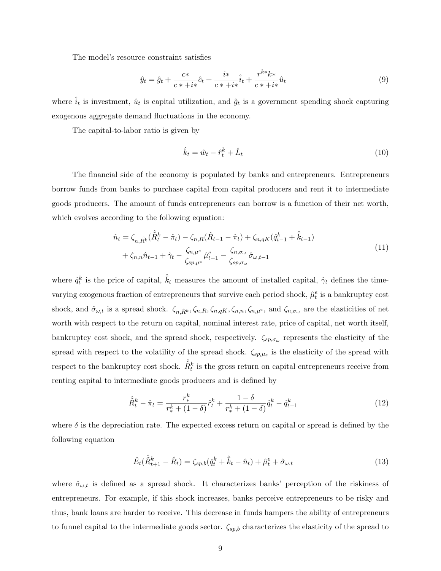The model's resource constraint satisfies

$$
\hat{y}_t = \hat{g}_t + \frac{c*}{c*+i*}\hat{c}_t + \frac{i*}{c*+i*}\hat{i}_t + \frac{r^{k*}k*}{c*+i*}\hat{u}_t
$$
\n(9)

where  $\hat{i}_t$  is investment,  $\hat{u}_t$  is capital utilization, and  $\hat{g}_t$  is a government spending shock capturing exogenous aggregate demand fluctuations in the economy.

The capital-to-labor ratio is given by

$$
\hat{k}_t = \hat{w}_t - \hat{r}_t^k + \hat{L}_t \tag{10}
$$

The financial side of the economy is populated by banks and entrepreneurs. Entrepreneurs borrow funds from banks to purchase capital from capital producers and rent it to intermediate goods producers. The amount of funds entrepreneurs can borrow is a function of their net worth, which evolves according to the following equation:

$$
\hat{n}_t = \zeta_{n,\tilde{R}^k} (\hat{\tilde{R}}_t^k - \hat{\pi}_t) - \zeta_{n,R} (\hat{R}_{t-1} - \hat{\pi}_t) + \zeta_{n,qK} (\hat{q}_{t-1}^k + \hat{\bar{k}}_{t-1}) \n+ \zeta_{n,n} \hat{n}_{t-1} + \hat{\gamma}_t - \frac{\zeta_{n,\mu^e}}{\zeta_{sp,\mu^e}} \hat{\mu}_{t-1}^e - \frac{\zeta_{n,\sigma_\omega}}{\zeta_{sp,\sigma_\omega}} \hat{\sigma}_{\omega,t-1}
$$
\n(11)

where  $\hat{q}_t^k$  is the price of capital,  $\hat{k}_t$  measures the amount of installed capital,  $\hat{\gamma}_t$  defines the timevarying exogenous fraction of entrepreneurs that survive each period shock,  $\hat{\mu}_t^e$  is a bankruptcy cost shock, and  $\hat{\sigma}_{\omega,t}$  is a spread shock.  $\zeta_{n,\tilde{R}^k}$ ,  $\zeta_{n,R}$ ,  $\zeta_{n,qK}$ ,  $\zeta_{n,n}$ ,  $\zeta_{n,\mu}$ e, and  $\zeta_{n,\sigma_{\omega}}$  are the elasticities of net worth with respect to the return on capital, nominal interest rate, price of capital, net worth itself, bankruptcy cost shock, and the spread shock, respectively.  $\zeta_{sp,\sigma_{\omega}}$  represents the elasticity of the spread with respect to the volatility of the spread shock.  $\zeta_{sp,\mu_e}$  is the elasticity of the spread with respect to the bankruptcy cost shock.  $\hat{\tilde{R}}_t^k$  is the gross return on capital entrepreneurs receive from renting capital to intermediate goods producers and is defined by

$$
\hat{\tilde{R}}_t^k - \hat{\pi}_t = \frac{r_*^k}{r_*^k + (1 - \delta)} \hat{r}_t^k + \frac{1 - \delta}{r_*^k + (1 - \delta)} \hat{q}_t^k - \hat{q}_{t-1}^k \tag{12}
$$

where  $\delta$  is the depreciation rate. The expected excess return on capital or spread is defined by the following equation

$$
\hat{E}_t(\hat{\tilde{R}}_{t+1}^k - \hat{R}_t) = \zeta_{sp,b}(\hat{q}_t^k + \hat{\bar{k}}_t - \hat{n}_t) + \hat{\mu}_t^e + \hat{\sigma}_{\omega,t}
$$
\n(13)

where  $\hat{\sigma}_{\omega,t}$  is defined as a spread shock. It characterizes banks' perception of the riskiness of entrepreneurs. For example, if this shock increases, banks perceive entrepreneurs to be risky and thus, bank loans are harder to receive. This decrease in funds hampers the ability of entrepreneurs to funnel capital to the intermediate goods sector.  $\zeta_{sp,b}$  characterizes the elasticity of the spread to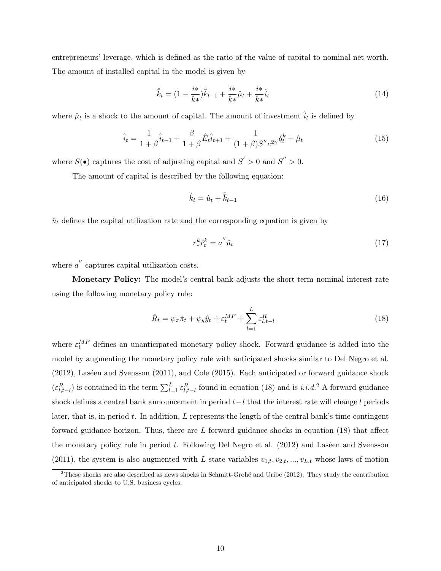entrepreneurs' leverage, which is defined as the ratio of the value of capital to nominal net worth. The amount of installed capital in the model is given by

$$
\hat{\bar{k}}_t = (1 - \frac{i^*}{k^*})\hat{\bar{k}}_{t-1} + \frac{i^*}{k^*}\hat{\mu}_t + \frac{i^*}{k^*}\hat{i}_t \tag{14}
$$

where  $\hat{\mu}_t$  is a shock to the amount of capital. The amount of investment  $\hat{i}_t$  is defined by

$$
\hat{i}_t = \frac{1}{1+\beta}\hat{i}_{t-1} + \frac{\beta}{1+\beta}\hat{E}_t\hat{i}_{t+1} + \frac{1}{(1+\beta)S''e^{2\gamma}}\hat{q}_t^k + \hat{\mu}_t
$$
\n(15)

where  $S(\bullet)$  captures the cost of adjusting capital and  $S' > 0$  and  $S'' > 0$ .

The amount of capital is described by the following equation:

$$
\hat{k}_t = \hat{u}_t + \hat{\bar{k}}_{t-1} \tag{16}
$$

 $\hat{u}_t$  defines the capital utilization rate and the corresponding equation is given by

$$
r_*^k \hat{r}_t^k = a^{''} \hat{u}_t \tag{17}
$$

where  $a''$  captures capital utilization costs.

Monetary Policy: The model's central bank adjusts the short-term nominal interest rate using the following monetary policy rule:

$$
\hat{R}_t = \psi_\pi \hat{\pi}_t + \psi_y \hat{y}_t + \varepsilon_t^{MP} + \sum_{l=1}^L \varepsilon_{l,t-l}^R
$$
\n(18)

where  $\varepsilon_t^{MP}$  defines an unanticipated monetary policy shock. Forward guidance is added into the model by augmenting the monetary policy rule with anticipated shocks similar to Del Negro et al.  $(2012)$ , Laséen and Svensson  $(2011)$ , and Cole  $(2015)$ . Each anticipated or forward guidance shock  $(\varepsilon_{l,t-l}^R)$  is contained in the term  $\sum_{l=1}^L \varepsilon_{l,t-l}^R$  found in equation (18) and is *i.i.d.*<sup>2</sup> A forward guidance shock defines a central bank announcement in period  $t-l$  that the interest rate will change l periods later, that is, in period  $t$ . In addition,  $L$  represents the length of the central bank's time-contingent forward guidance horizon. Thus, there are  $L$  forward guidance shocks in equation (18) that affect the monetary policy rule in period  $t$ . Following Del Negro et al.  $(2012)$  and Laséen and Svensson (2011), the system is also augmented with L state variables  $v_{1,t}, v_{2,t}, ..., v_{L,t}$  whose laws of motion

 $2$ These shocks are also described as news shocks in Schmitt-Grohé and Uribe (2012). They study the contribution of anticipated shocks to U.S. business cycles.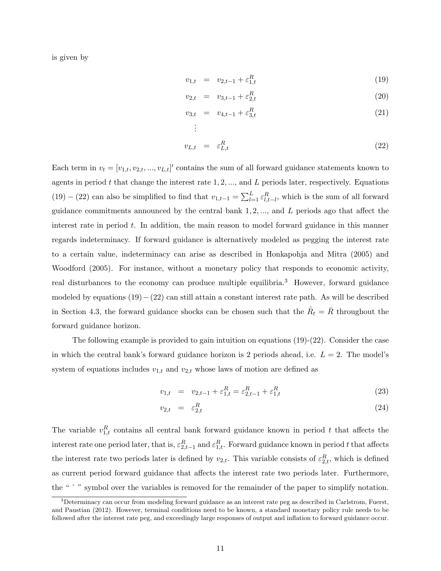is given by

$$
v_{1,t} = v_{2,t-1} + \varepsilon_{1,t}^R \tag{19}
$$

$$
v_{2,t} = v_{3,t-1} + \varepsilon_{2,t}^R
$$
\n(20)

$$
v_{3,t} = v_{4,t-1} + \varepsilon_{3,t}^R
$$
\n
$$
\vdots
$$
\n(21)

$$
v_{L,t} = \varepsilon_{L,t}^R \tag{22}
$$

Each term in  $v_t = [v_{1,t}, v_{2,t}, ..., v_{L,t}]'$  contains the sum of all forward guidance statements known to agents in period t that change the interest rate  $1, 2, ...,$  and L periods later, respectively. Equations (19) − (22) can also be simplified to find that  $v_{1,t-1} = \sum_{l=1}^{L} \varepsilon_{l,t-l}^R$ , which is the sum of all forward guidance commitments announced by the central bank  $1, 2, \ldots$ , and  $L$  periods ago that affect the interest rate in period  $t$ . In addition, the main reason to model forward guidance in this manner regards indeterminacy. If forward guidance is alternatively modeled as pegging the interest rate to a certain value, indeterminacy can arise as described in Honkapohja and Mitra (2005) and Woodford (2005). For instance, without a monetary policy that responds to economic activity, real disturbances to the economy can produce multiple equilibria.<sup>3</sup> However, forward guidance modeled by equations  $(19)-(22)$  can still attain a constant interest rate path. As will be described in Section 4.3, the forward guidance shocks can be chosen such that the  $\hat{R}_t = \bar{R}$  throughout the forward guidance horizon.

The following example is provided to gain intuition on equations (19)-(22). Consider the case in which the central bank's forward guidance horizon is 2 periods ahead, i.e.  $L = 2$ . The model's system of equations includes  $v_{1,t}$  and  $v_{2,t}$  whose laws of motion are defined as

$$
v_{1,t} = v_{2,t-1} + \varepsilon_{1,t}^R = \varepsilon_{2,t-1}^R + \varepsilon_{1,t}^R
$$
\n(23)

$$
v_{2,t} = \varepsilon_{2,t}^R \tag{24}
$$

The variable  $v_{1,t}^R$  contains all central bank forward guidance known in period t that affects the interest rate one period later, that is,  $\varepsilon_{2,t-1}^R$  and  $\varepsilon_{1,t}^R$ . Forward guidance known in period t that affects the interest rate two periods later is defined by  $v_{2,t}$ . This variable consists of  $\varepsilon_{2,t}^R$ , which is defined as current period forward guidance that affects the interest rate two periods later. Furthermore, the "  $\degree$  " symbol over the variables is removed for the remainder of the paper to simplify notation.

 $3$ Determinacy can occur from modeling forward guidance as an interest rate peg as described in Carlstrom, Fuerst, and Paustian (2012). However, terminal conditions need to be known, a standard monetary policy rule needs to be followed after the interest rate peg, and exceedingly large responses of output and inflation to forward guidance occur.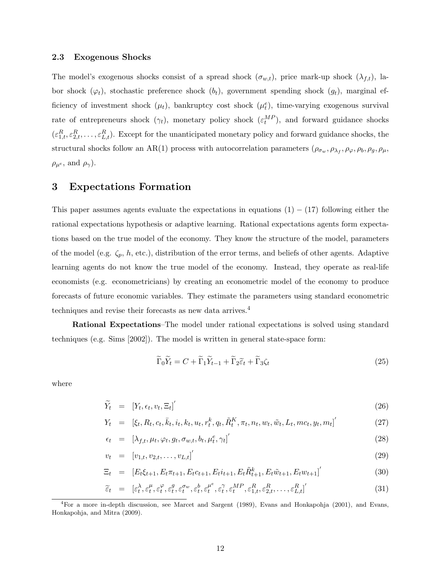### 2.3 Exogenous Shocks

The model's exogenous shocks consist of a spread shock  $(\sigma_{w,t})$ , price mark-up shock  $(\lambda_{f,t})$ , labor shock  $(\varphi_t)$ , stochastic preference shock  $(b_t)$ , government spending shock  $(g_t)$ , marginal efficiency of investment shock  $(\mu_t)$ , bankruptcy cost shock  $(\mu_t^e)$ , time-varying exogenous survival rate of entrepreneurs shock  $(\gamma_t)$ , monetary policy shock  $(\varepsilon_t^{MP})$ , and forward guidance shocks  $(\varepsilon_{1,t}^R, \varepsilon_{2,t}^R, \ldots, \varepsilon_{L,t}^R)$ . Except for the unanticipated monetary policy and forward guidance shocks, the structural shocks follow an AR(1) process with autocorrelation parameters  $(\rho_{\sigma_w}, \rho_{\lambda_f}, \rho_{\varphi}, \rho_b, \rho_g, \rho_\mu,$  $\rho_{\mu^e}$ , and  $\rho_{\gamma}$ ).

### 3 Expectations Formation

This paper assumes agents evaluate the expectations in equations  $(1) - (17)$  following either the rational expectations hypothesis or adaptive learning. Rational expectations agents form expectations based on the true model of the economy. They know the structure of the model, parameters of the model (e.g.  $\zeta_p$ , h, etc.), distribution of the error terms, and beliefs of other agents. Adaptive learning agents do not know the true model of the economy. Instead, they operate as real-life economists (e.g. econometricians) by creating an econometric model of the economy to produce forecasts of future economic variables. They estimate the parameters using standard econometric techniques and revise their forecasts as new data arrives.<sup>4</sup>

Rational Expectations–The model under rational expectations is solved using standard techniques (e.g. Sims [2002]). The model is written in general state-space form:

$$
\widetilde{\Gamma}_0 \widetilde{Y}_t = C + \widetilde{\Gamma}_1 \widetilde{Y}_{t-1} + \widetilde{\Gamma}_2 \widetilde{\varepsilon}_t + \widetilde{\Gamma}_3 \zeta_t \tag{25}
$$

where

$$
\widetilde{Y}_t = \left[ Y_t, \epsilon_t, v_t, \Xi_t \right]'
$$
\n(26)

$$
Y_t = [\xi_t, R_t, c_t, \bar{k}_t, i_t, k_t, u_t, r_t^k, q_t, \tilde{R}_t^K, \pi_t, n_t, w_t, \tilde{w}_t, L_t, mc_t, y_t, m_t]'
$$
(27)

$$
\epsilon_t = [\lambda_{f,t}, \mu_t, \varphi_t, g_t, \sigma_{w,t}, b_t, \mu_t^e, \gamma_t]'
$$
\n(28)

$$
v_t = [v_{1,t}, v_{2,t}, \dots, v_{L,t}]'
$$
\n(29)

$$
\Xi_t = [E_t \xi_{t+1}, E_t \pi_{t+1}, E_t c_{t+1}, E_t i_{t+1}, E_t \tilde{R}_{t+1}^k, E_t \tilde{w}_{t+1}, E_t w_{t+1}]'
$$
(30)

$$
\tilde{\varepsilon}_t = [\varepsilon_t^{\lambda}, \varepsilon_t^{\mu}, \varepsilon_t^{\varphi}, \varepsilon_t^g, \varepsilon_t^{\sigma_w}, \varepsilon_t^b, \varepsilon_t^{\mu^e}, \varepsilon_t^{\gamma}, \varepsilon_t^{MP}, \varepsilon_{1,t}^R, \varepsilon_{2,t}^R, \dots, \varepsilon_{L,t}^R]'
$$
\n(31)

 ${}^{4}$ For a more in-depth discussion, see Marcet and Sargent (1989), Evans and Honkapohja (2001), and Evans, Honkapohja, and Mitra (2009).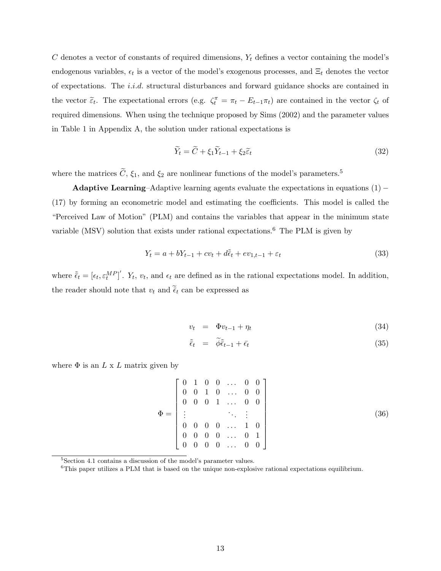$C$  denotes a vector of constants of required dimensions,  $Y_t$  defines a vector containing the model's endogenous variables,  $\epsilon_t$  is a vector of the model's exogenous processes, and  $\Xi_t$  denotes the vector of expectations. The i.i.d. structural disturbances and forward guidance shocks are contained in the vector  $\tilde{\varepsilon}_t$ . The expectational errors (e.g.  $\zeta_t^{\pi} = \pi_t - E_{t-1}\pi_t$ ) are contained in the vector  $\zeta_t$  of required dimensions. When using the technique proposed by Sims (2002) and the parameter values in Table 1 in Appendix A, the solution under rational expectations is

$$
\widetilde{Y}_t = \widetilde{C} + \xi_1 \widetilde{Y}_{t-1} + \xi_2 \widetilde{\varepsilon}_t \tag{32}
$$

where the matrices  $\tilde{C}$ ,  $\xi_1$ , and  $\xi_2$  are nonlinear functions of the model's parameters.<sup>5</sup>

Adaptive Learning–Adaptive learning agents evaluate the expectations in equations  $(1)$  – (17) by forming an econometric model and estimating the coefficients. This model is called the "Perceived Law of Motion" (PLM) and contains the variables that appear in the minimum state variable (MSV) solution that exists under rational expectations.<sup>6</sup> The PLM is given by

$$
Y_t = a + bY_{t-1} + cv_t + d\tilde{\epsilon}_t + ev_{1,t-1} + \varepsilon_t
$$
\n
$$
(33)
$$

where  $\tilde{\epsilon}_t = [\epsilon_t, \epsilon_t^{MP}]'$ .  $Y_t$ ,  $v_t$ , and  $\epsilon_t$  are defined as in the rational expectations model. In addition, the reader should note that  $v_t$  and  $\tilde{\bar{\epsilon}}_t$  can be expressed as

$$
v_t = \Phi v_{t-1} + \eta_t \tag{34}
$$

$$
\tilde{\epsilon}_t = \tilde{\phi}\tilde{\epsilon}_{t-1} + \bar{\epsilon}_t \tag{35}
$$

where  $\Phi$  is an  $L \times L$  matrix given by

$$
\Phi = \begin{bmatrix} 0 & 1 & 0 & 0 & \dots & 0 & 0 \\ 0 & 0 & 1 & 0 & \dots & 0 & 0 \\ 0 & 0 & 0 & 1 & \dots & 0 & 0 \\ \vdots & & & & \ddots & \vdots \\ 0 & 0 & 0 & 0 & \dots & 1 & 0 \\ 0 & 0 & 0 & 0 & \dots & 0 & 1 \\ 0 & 0 & 0 & 0 & \dots & 0 & 0 \end{bmatrix}
$$
(36)

<sup>5</sup>Section 4.1 contains a discussion of the model's parameter values.

 $6$ This paper utilizes a PLM that is based on the unique non-explosive rational expectations equilibrium.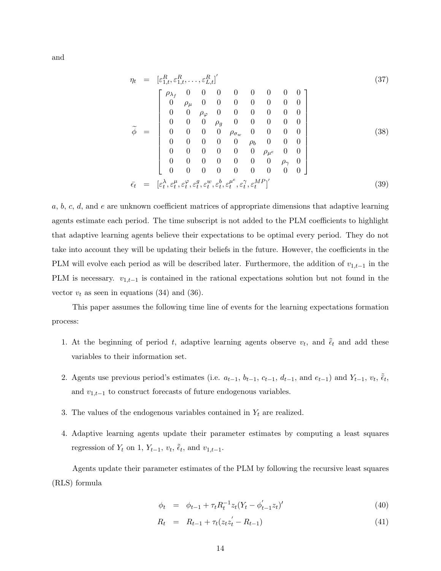and

$$
\eta_t = [\varepsilon_{1,t}^R, \varepsilon_{1,t}^R, \dots, \varepsilon_{L,t}^R]'
$$
\n
$$
\tilde{\phi} = \begin{bmatrix}\n\rho_{\lambda_f} & 0 & 0 & 0 & 0 & 0 & 0 & 0 & 0 \\
0 & \rho_{\mu} & 0 & 0 & 0 & 0 & 0 & 0 & 0 \\
0 & 0 & \rho_{\varphi} & 0 & 0 & 0 & 0 & 0 & 0 \\
0 & 0 & 0 & \rho_{g} & 0 & 0 & 0 & 0 & 0 \\
0 & 0 & 0 & 0 & \rho_{\sigma_w} & 0 & 0 & 0 & 0 \\
0 & 0 & 0 & 0 & \rho_{\sigma_w} & 0 & 0 & 0 & 0 \\
0 & 0 & 0 & 0 & 0 & \rho_{\mu_e} & 0 & 0 \\
0 & 0 & 0 & 0 & 0 & 0 & \rho_{\gamma_e} & 0 & 0 \\
0 & 0 & 0 & 0 & 0 & 0 & 0 & 0 & 0\n\end{bmatrix}
$$
\n(38)\n
$$
\tilde{\epsilon}_t = [\varepsilon_t^{\lambda}, \varepsilon_t^{\mu}, \varepsilon_t^{\mu}, \varepsilon_t^{\varepsilon}, \varepsilon_t^{\mu}, \varepsilon_t^{\mu}, \varepsilon_t^{\lambda}, \varepsilon_t^{\mu^e}, \varepsilon_t^{\gamma}, \varepsilon_t^{\mu^p}]'
$$
\n(39)

 $a, b, c, d$ , and e are unknown coefficient matrices of appropriate dimensions that adaptive learning agents estimate each period. The time subscript is not added to the PLM coefficients to highlight that adaptive learning agents believe their expectations to be optimal every period. They do not take into account they will be updating their beliefs in the future. However, the coefficients in the PLM will evolve each period as will be described later. Furthermore, the addition of  $v_{1,t-1}$  in the PLM is necessary.  $v_{1,t-1}$  is contained in the rational expectations solution but not found in the vector  $v_t$  as seen in equations (34) and (36).

This paper assumes the following time line of events for the learning expectations formation process:

- 1. At the beginning of period t, adaptive learning agents observe  $v_t$ , and  $\tilde{\tilde{\epsilon}}_t$  and add these variables to their information set.
- 2. Agents use previous period's estimates (i.e.  $a_{t-1}$ ,  $b_{t-1}$ ,  $c_{t-1}$ ,  $d_{t-1}$ , and  $e_{t-1}$ ) and  $Y_{t-1}$ ,  $v_t$ ,  $\tilde{\tilde{e}}_t$ , and  $v_{1,t-1}$  to construct forecasts of future endogenous variables.
- 3. The values of the endogenous variables contained in  $Y_t$  are realized.
- 4. Adaptive learning agents update their parameter estimates by computing a least squares regression of  $Y_t$  on 1,  $Y_{t-1}$ ,  $v_t$ ,  $\tilde{\tilde{\epsilon}}_t$ , and  $v_{1,t-1}$ .

Agents update their parameter estimates of the PLM by following the recursive least squares (RLS) formula

$$
\phi_t = \phi_{t-1} + \tau_t R_t^{-1} z_t (Y_t - \phi_{t-1}' z_t)'
$$
\n(40)

$$
R_t = R_{t-1} + \tau_t (z_t z_t' - R_{t-1}) \tag{41}
$$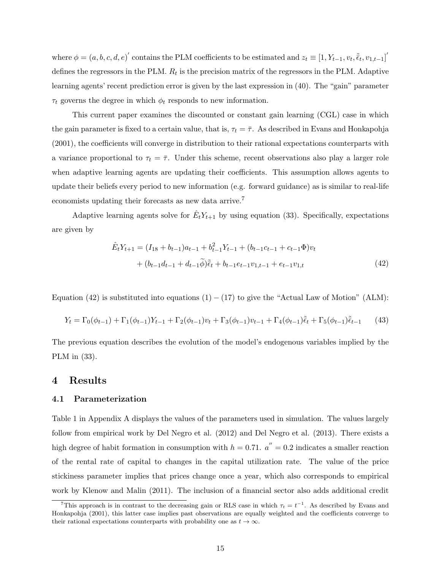where  $\phi = (a, b, c, d, e)'$  contains the PLM coefficients to be estimated and  $z_t \equiv [1, Y_{t-1}, v_t, \tilde{\epsilon}_t, v_{1,t-1}]'$ defines the regressors in the PLM.  $R_t$  is the precision matrix of the regressors in the PLM. Adaptive learning agents' recent prediction error is given by the last expression in (40). The "gain" parameter  $\tau_t$  governs the degree in which  $\phi_t$  responds to new information.

This current paper examines the discounted or constant gain learning (CGL) case in which the gain parameter is fixed to a certain value, that is,  $\tau_t = \overline{\tau}$ . As described in Evans and Honkapohja (2001), the coefficients will converge in distribution to their rational expectations counterparts with a variance proportional to  $\tau_t = \bar{\tau}$ . Under this scheme, recent observations also play a larger role when adaptive learning agents are updating their coefficients. This assumption allows agents to update their beliefs every period to new information (e.g. forward guidance) as is similar to real-life economists updating their forecasts as new data arrive.<sup>7</sup>

Adaptive learning agents solve for  $\hat{E}_t Y_{t+1}$  by using equation (33). Specifically, expectations are given by

$$
\hat{E}_t Y_{t+1} = (I_{18} + b_{t-1})a_{t-1} + b_{t-1}^2 Y_{t-1} + (b_{t-1}c_{t-1} + c_{t-1}\Phi)v_t \n+ (b_{t-1}d_{t-1} + d_{t-1}\tilde{\phi})\tilde{\epsilon}_t + b_{t-1}e_{t-1}v_{1,t-1} + e_{t-1}v_{1,t}
$$
\n(42)

Equation (42) is substituted into equations  $(1) - (17)$  to give the "Actual Law of Motion" (ALM):

$$
Y_t = \Gamma_0(\phi_{t-1}) + \Gamma_1(\phi_{t-1})Y_{t-1} + \Gamma_2(\phi_{t-1})v_t + \Gamma_3(\phi_{t-1})v_{t-1} + \Gamma_4(\phi_{t-1})\tilde{e}_t + \Gamma_5(\phi_{t-1})\tilde{e}_{t-1} \tag{43}
$$

The previous equation describes the evolution of the model's endogenous variables implied by the PLM in (33).

### 4 Results

#### 4.1 Parameterization

Table 1 in Appendix A displays the values of the parameters used in simulation. The values largely follow from empirical work by Del Negro et al. (2012) and Del Negro et al. (2013). There exists a high degree of habit formation in consumption with  $h = 0.71$ .  $a'' = 0.2$  indicates a smaller reaction of the rental rate of capital to changes in the capital utilization rate. The value of the price stickiness parameter implies that prices change once a year, which also corresponds to empirical work by Klenow and Malin (2011). The inclusion of a financial sector also adds additional credit

<sup>&</sup>lt;sup>7</sup>This approach is in contrast to the decreasing gain or RLS case in which  $\tau_t = t^{-1}$ . As described by Evans and Honkapohja (2001), this latter case implies past observations are equally weighted and the coefficients converge to their rational expectations counterparts with probability one as  $t \to \infty$ .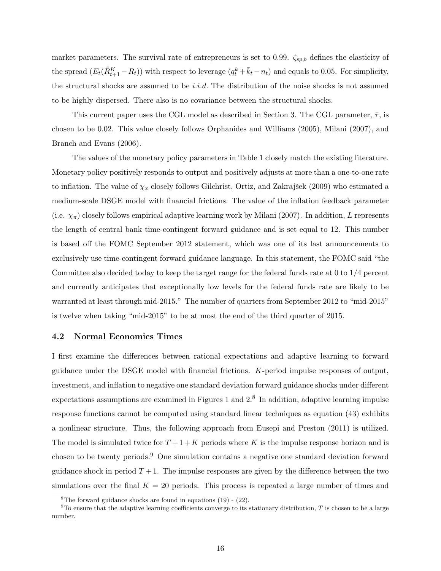market parameters. The survival rate of entrepreneurs is set to 0.99.  $\zeta_{sp,b}$  defines the elasticity of the spread  $(E_t(\tilde{R}_{t+1}^K - R_t))$  with respect to leverage  $(q_t^k + \bar{k}_t - n_t)$  and equals to 0.05. For simplicity, the structural shocks are assumed to be  $i.i.d.$  The distribution of the noise shocks is not assumed to be highly dispersed. There also is no covariance between the structural shocks.

This current paper uses the CGL model as described in Section 3. The CGL parameter,  $\bar{\tau}$ , is chosen to be 0.02. This value closely follows Orphanides and Williams (2005), Milani (2007), and Branch and Evans (2006).

The values of the monetary policy parameters in Table 1 closely match the existing literature. Monetary policy positively responds to output and positively adjusts at more than a one-to-one rate to inflation. The value of  $\chi_x$  closely follows Gilchrist, Ortiz, and Zakrajšek (2009) who estimated a medium-scale DSGE model with financial frictions. The value of the inflation feedback parameter (i.e.  $\chi_{\pi}$ ) closely follows empirical adaptive learning work by Milani (2007). In addition, L represents the length of central bank time-contingent forward guidance and is set equal to 12. This number is based off the FOMC September 2012 statement, which was one of its last announcements to exclusively use time-contingent forward guidance language. In this statement, the FOMC said "the Committee also decided today to keep the target range for the federal funds rate at 0 to 1/4 percent and currently anticipates that exceptionally low levels for the federal funds rate are likely to be warranted at least through mid-2015." The number of quarters from September 2012 to "mid-2015" is twelve when taking "mid-2015" to be at most the end of the third quarter of 2015.

### 4.2 Normal Economics Times

I first examine the differences between rational expectations and adaptive learning to forward guidance under the DSGE model with financial frictions. K-period impulse responses of output, investment, and inflation to negative one standard deviation forward guidance shocks under different expectations assumptions are examined in Figures 1 and  $2<sup>8</sup>$  In addition, adaptive learning impulse response functions cannot be computed using standard linear techniques as equation (43) exhibits a nonlinear structure. Thus, the following approach from Eusepi and Preston (2011) is utilized. The model is simulated twice for  $T+1+K$  periods where K is the impulse response horizon and is chosen to be twenty periods.<sup>9</sup> One simulation contains a negative one standard deviation forward guidance shock in period  $T+1$ . The impulse responses are given by the difference between the two simulations over the final  $K = 20$  periods. This process is repeated a large number of times and

<sup>&</sup>lt;sup>8</sup>The forward guidance shocks are found in equations  $(19)$  -  $(22)$ .

<sup>&</sup>lt;sup>9</sup>To ensure that the adaptive learning coefficients converge to its stationary distribution,  $T$  is chosen to be a large number.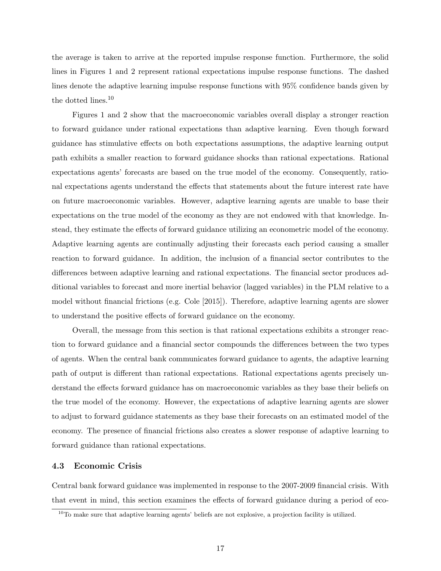the average is taken to arrive at the reported impulse response function. Furthermore, the solid lines in Figures 1 and 2 represent rational expectations impulse response functions. The dashed lines denote the adaptive learning impulse response functions with 95% confidence bands given by the dotted lines.<sup>10</sup>

Figures 1 and 2 show that the macroeconomic variables overall display a stronger reaction to forward guidance under rational expectations than adaptive learning. Even though forward guidance has stimulative effects on both expectations assumptions, the adaptive learning output path exhibits a smaller reaction to forward guidance shocks than rational expectations. Rational expectations agents' forecasts are based on the true model of the economy. Consequently, rational expectations agents understand the effects that statements about the future interest rate have on future macroeconomic variables. However, adaptive learning agents are unable to base their expectations on the true model of the economy as they are not endowed with that knowledge. Instead, they estimate the effects of forward guidance utilizing an econometric model of the economy. Adaptive learning agents are continually adjusting their forecasts each period causing a smaller reaction to forward guidance. In addition, the inclusion of a financial sector contributes to the differences between adaptive learning and rational expectations. The financial sector produces additional variables to forecast and more inertial behavior (lagged variables) in the PLM relative to a model without financial frictions (e.g. Cole [2015]). Therefore, adaptive learning agents are slower to understand the positive effects of forward guidance on the economy.

Overall, the message from this section is that rational expectations exhibits a stronger reaction to forward guidance and a financial sector compounds the differences between the two types of agents. When the central bank communicates forward guidance to agents, the adaptive learning path of output is different than rational expectations. Rational expectations agents precisely understand the effects forward guidance has on macroeconomic variables as they base their beliefs on the true model of the economy. However, the expectations of adaptive learning agents are slower to adjust to forward guidance statements as they base their forecasts on an estimated model of the economy. The presence of financial frictions also creates a slower response of adaptive learning to forward guidance than rational expectations.

### 4.3 Economic Crisis

Central bank forward guidance was implemented in response to the 2007-2009 financial crisis. With that event in mind, this section examines the effects of forward guidance during a period of eco-

 $10$ To make sure that adaptive learning agents' beliefs are not explosive, a projection facility is utilized.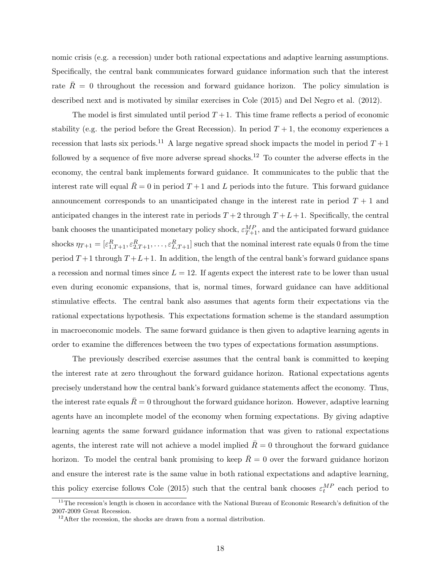nomic crisis (e.g. a recession) under both rational expectations and adaptive learning assumptions. Specifically, the central bank communicates forward guidance information such that the interest rate  $R = 0$  throughout the recession and forward guidance horizon. The policy simulation is described next and is motivated by similar exercises in Cole (2015) and Del Negro et al. (2012).

The model is first simulated until period  $T + 1$ . This time frame reflects a period of economic stability (e.g. the period before the Great Recession). In period  $T + 1$ , the economy experiences a recession that lasts six periods.<sup>11</sup> A large negative spread shock impacts the model in period  $T + 1$ followed by a sequence of five more adverse spread shocks.<sup>12</sup> To counter the adverse effects in the economy, the central bank implements forward guidance. It communicates to the public that the interest rate will equal  $\bar{R} = 0$  in period  $T + 1$  and L periods into the future. This forward guidance announcement corresponds to an unanticipated change in the interest rate in period  $T + 1$  and anticipated changes in the interest rate in periods  $T+2$  through  $T+L+1$ . Specifically, the central bank chooses the unanticipated monetary policy shock,  $\varepsilon_{T+1}^{MP}$ , and the anticipated forward guidance shocks  $\eta_{T+1} = [\varepsilon_{1,T+1}^R, \varepsilon_{2,T+1}^R, \ldots, \varepsilon_{L,T+1}^R]$  such that the nominal interest rate equals 0 from the time period  $T+1$  through  $T+L+1$ . In addition, the length of the central bank's forward guidance spans a recession and normal times since  $L = 12$ . If agents expect the interest rate to be lower than usual even during economic expansions, that is, normal times, forward guidance can have additional stimulative effects. The central bank also assumes that agents form their expectations via the rational expectations hypothesis. This expectations formation scheme is the standard assumption in macroeconomic models. The same forward guidance is then given to adaptive learning agents in order to examine the differences between the two types of expectations formation assumptions.

The previously described exercise assumes that the central bank is committed to keeping the interest rate at zero throughout the forward guidance horizon. Rational expectations agents precisely understand how the central bank's forward guidance statements affect the economy. Thus, the interest rate equals  $\bar{R} = 0$  throughout the forward guidance horizon. However, adaptive learning agents have an incomplete model of the economy when forming expectations. By giving adaptive learning agents the same forward guidance information that was given to rational expectations agents, the interest rate will not achieve a model implied  $\bar{R}=0$  throughout the forward guidance horizon. To model the central bank promising to keep  $\bar{R}=0$  over the forward guidance horizon and ensure the interest rate is the same value in both rational expectations and adaptive learning, this policy exercise follows Cole (2015) such that the central bank chooses  $\varepsilon_t^{MP}$  each period to

<sup>&</sup>lt;sup>11</sup>The recession's length is chosen in accordance with the National Bureau of Economic Research's definition of the 2007-2009 Great Recession.

 $12$ After the recession, the shocks are drawn from a normal distribution.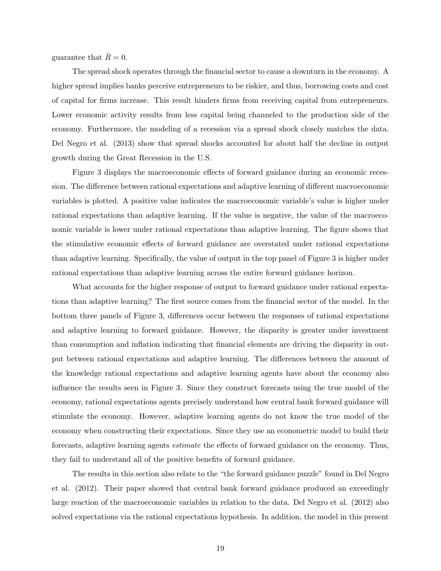guarantee that  $R = 0$ .

The spread shock operates through the financial sector to cause a downturn in the economy. A higher spread implies banks perceive entrepreneurs to be riskier, and thus, borrowing costs and cost of capital for firms increase. This result hinders firms from receiving capital from entrepreneurs. Lower economic activity results from less capital being channeled to the production side of the economy. Furthermore, the modeling of a recession via a spread shock closely matches the data. Del Negro et al. (2013) show that spread shocks accounted for about half the decline in output growth during the Great Recession in the U.S.

Figure 3 displays the macroeconomic effects of forward guidance during an economic recession. The difference between rational expectations and adaptive learning of different macroeconomic variables is plotted. A positive value indicates the macroeconomic variable's value is higher under rational expectations than adaptive learning. If the value is negative, the value of the macroeconomic variable is lower under rational expectations than adaptive learning. The figure shows that the stimulative economic effects of forward guidance are overstated under rational expectations than adaptive learning. Specifically, the value of output in the top panel of Figure 3 is higher under rational expectations than adaptive learning across the entire forward guidance horizon.

What accounts for the higher response of output to forward guidance under rational expectations than adaptive learning? The first source comes from the financial sector of the model. In the bottom three panels of Figure 3, differences occur between the responses of rational expectations and adaptive learning to forward guidance. However, the disparity is greater under investment than consumption and inflation indicating that financial elements are driving the disparity in output between rational expectations and adaptive learning. The differences between the amount of the knowledge rational expectations and adaptive learning agents have about the economy also influence the results seen in Figure 3. Since they construct forecasts using the true model of the economy, rational expectations agents precisely understand how central bank forward guidance will stimulate the economy. However, adaptive learning agents do not know the true model of the economy when constructing their expectations. Since they use an econometric model to build their forecasts, adaptive learning agents estimate the effects of forward guidance on the economy. Thus, they fail to understand all of the positive benefits of forward guidance.

The results in this section also relate to the "the forward guidance puzzle" found in Del Negro et al. (2012). Their paper showed that central bank forward guidance produced an exceedingly large reaction of the macroeconomic variables in relation to the data. Del Negro et al. (2012) also solved expectations via the rational expectations hypothesis. In addition, the model in this present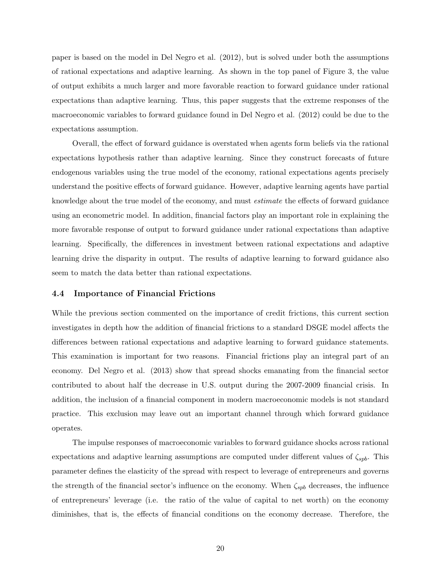paper is based on the model in Del Negro et al. (2012), but is solved under both the assumptions of rational expectations and adaptive learning. As shown in the top panel of Figure 3, the value of output exhibits a much larger and more favorable reaction to forward guidance under rational expectations than adaptive learning. Thus, this paper suggests that the extreme responses of the macroeconomic variables to forward guidance found in Del Negro et al. (2012) could be due to the expectations assumption.

Overall, the effect of forward guidance is overstated when agents form beliefs via the rational expectations hypothesis rather than adaptive learning. Since they construct forecasts of future endogenous variables using the true model of the economy, rational expectations agents precisely understand the positive effects of forward guidance. However, adaptive learning agents have partial knowledge about the true model of the economy, and must estimate the effects of forward guidance using an econometric model. In addition, financial factors play an important role in explaining the more favorable response of output to forward guidance under rational expectations than adaptive learning. Specifically, the differences in investment between rational expectations and adaptive learning drive the disparity in output. The results of adaptive learning to forward guidance also seem to match the data better than rational expectations.

#### 4.4 Importance of Financial Frictions

While the previous section commented on the importance of credit frictions, this current section investigates in depth how the addition of financial frictions to a standard DSGE model affects the differences between rational expectations and adaptive learning to forward guidance statements. This examination is important for two reasons. Financial frictions play an integral part of an economy. Del Negro et al. (2013) show that spread shocks emanating from the financial sector contributed to about half the decrease in U.S. output during the 2007-2009 financial crisis. In addition, the inclusion of a financial component in modern macroeconomic models is not standard practice. This exclusion may leave out an important channel through which forward guidance operates.

The impulse responses of macroeconomic variables to forward guidance shocks across rational expectations and adaptive learning assumptions are computed under different values of  $\zeta_{spb}$ . This parameter defines the elasticity of the spread with respect to leverage of entrepreneurs and governs the strength of the financial sector's influence on the economy. When  $\zeta_{spb}$  decreases, the influence of entrepreneurs' leverage (i.e. the ratio of the value of capital to net worth) on the economy diminishes, that is, the effects of financial conditions on the economy decrease. Therefore, the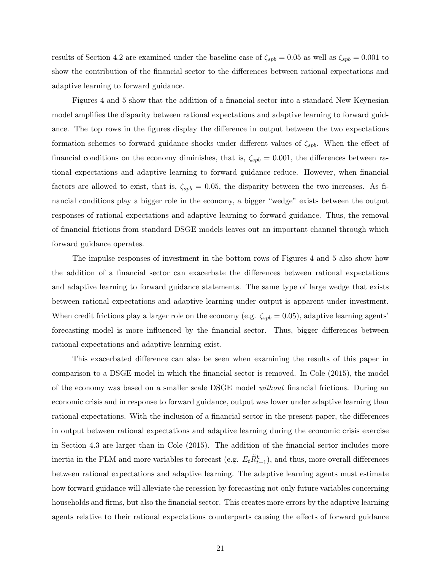results of Section 4.2 are examined under the baseline case of  $\zeta_{spb} = 0.05$  as well as  $\zeta_{spb} = 0.001$  to show the contribution of the financial sector to the differences between rational expectations and adaptive learning to forward guidance.

Figures 4 and 5 show that the addition of a financial sector into a standard New Keynesian model amplifies the disparity between rational expectations and adaptive learning to forward guidance. The top rows in the figures display the difference in output between the two expectations formation schemes to forward guidance shocks under different values of  $\zeta_{spb}$ . When the effect of financial conditions on the economy diminishes, that is,  $\zeta_{spb} = 0.001$ , the differences between rational expectations and adaptive learning to forward guidance reduce. However, when financial factors are allowed to exist, that is,  $\zeta_{spb} = 0.05$ , the disparity between the two increases. As financial conditions play a bigger role in the economy, a bigger "wedge" exists between the output responses of rational expectations and adaptive learning to forward guidance. Thus, the removal of financial frictions from standard DSGE models leaves out an important channel through which forward guidance operates.

The impulse responses of investment in the bottom rows of Figures 4 and 5 also show how the addition of a financial sector can exacerbate the differences between rational expectations and adaptive learning to forward guidance statements. The same type of large wedge that exists between rational expectations and adaptive learning under output is apparent under investment. When credit frictions play a larger role on the economy (e.g.  $\zeta_{spb} = 0.05$ ), adaptive learning agents' forecasting model is more influenced by the financial sector. Thus, bigger differences between rational expectations and adaptive learning exist.

This exacerbated difference can also be seen when examining the results of this paper in comparison to a DSGE model in which the financial sector is removed. In Cole (2015), the model of the economy was based on a smaller scale DSGE model without financial frictions. During an economic crisis and in response to forward guidance, output was lower under adaptive learning than rational expectations. With the inclusion of a financial sector in the present paper, the differences in output between rational expectations and adaptive learning during the economic crisis exercise in Section 4.3 are larger than in Cole (2015). The addition of the financial sector includes more inertia in the PLM and more variables to forecast (e.g.  $E_t \tilde{R}^k_{t+1}$ ), and thus, more overall differences between rational expectations and adaptive learning. The adaptive learning agents must estimate how forward guidance will alleviate the recession by forecasting not only future variables concerning households and firms, but also the financial sector. This creates more errors by the adaptive learning agents relative to their rational expectations counterparts causing the effects of forward guidance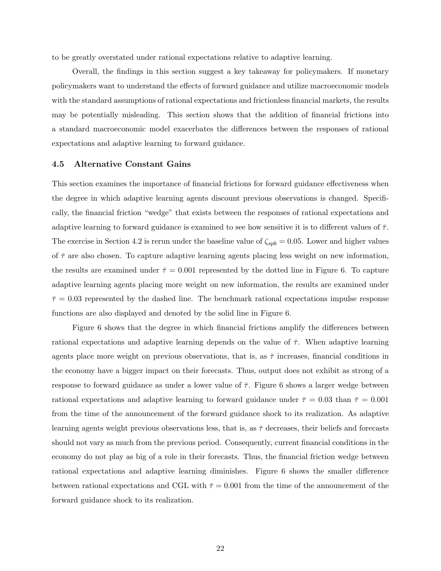to be greatly overstated under rational expectations relative to adaptive learning.

Overall, the findings in this section suggest a key takeaway for policymakers. If monetary policymakers want to understand the effects of forward guidance and utilize macroeconomic models with the standard assumptions of rational expectations and frictionless financial markets, the results may be potentially misleading. This section shows that the addition of financial frictions into a standard macroeconomic model exacerbates the differences between the responses of rational expectations and adaptive learning to forward guidance.

### 4.5 Alternative Constant Gains

This section examines the importance of financial frictions for forward guidance effectiveness when the degree in which adaptive learning agents discount previous observations is changed. Specifically, the financial friction "wedge" that exists between the responses of rational expectations and adaptive learning to forward guidance is examined to see how sensitive it is to different values of  $\bar{\tau}$ . The exercise in Section 4.2 is rerun under the baseline value of  $\zeta_{spb} = 0.05$ . Lower and higher values of  $\bar{\tau}$  are also chosen. To capture adaptive learning agents placing less weight on new information, the results are examined under  $\bar{\tau} = 0.001$  represented by the dotted line in Figure 6. To capture adaptive learning agents placing more weight on new information, the results are examined under  $\bar{\tau}=0.03$  represented by the dashed line. The benchmark rational expectations impulse response functions are also displayed and denoted by the solid line in Figure 6.

Figure 6 shows that the degree in which financial frictions amplify the differences between rational expectations and adaptive learning depends on the value of  $\bar{\tau}$ . When adaptive learning agents place more weight on previous observations, that is, as  $\bar{\tau}$  increases, financial conditions in the economy have a bigger impact on their forecasts. Thus, output does not exhibit as strong of a response to forward guidance as under a lower value of  $\bar{\tau}$ . Figure 6 shows a larger wedge between rational expectations and adaptive learning to forward guidance under  $\bar{\tau} = 0.03$  than  $\bar{\tau} = 0.001$ from the time of the announcement of the forward guidance shock to its realization. As adaptive learning agents weight previous observations less, that is, as  $\bar{\tau}$  decreases, their beliefs and forecasts should not vary as much from the previous period. Consequently, current financial conditions in the economy do not play as big of a role in their forecasts. Thus, the financial friction wedge between rational expectations and adaptive learning diminishes. Figure 6 shows the smaller difference between rational expectations and CGL with  $\bar{\tau} = 0.001$  from the time of the announcement of the forward guidance shock to its realization.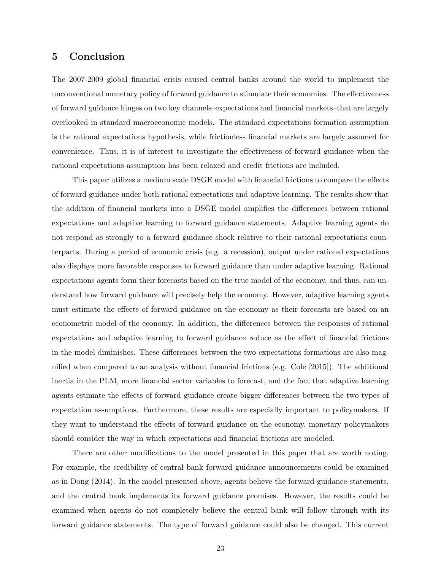### 5 Conclusion

The 2007-2009 global financial crisis caused central banks around the world to implement the unconventional monetary policy of forward guidance to stimulate their economies. The effectiveness of forward guidance hinges on two key channels–expectations and financial markets–that are largely overlooked in standard macroeconomic models. The standard expectations formation assumption is the rational expectations hypothesis, while frictionless financial markets are largely assumed for convenience. Thus, it is of interest to investigate the effectiveness of forward guidance when the rational expectations assumption has been relaxed and credit frictions are included.

This paper utilizes a medium scale DSGE model with financial frictions to compare the effects of forward guidance under both rational expectations and adaptive learning. The results show that the addition of financial markets into a DSGE model amplifies the differences between rational expectations and adaptive learning to forward guidance statements. Adaptive learning agents do not respond as strongly to a forward guidance shock relative to their rational expectations counterparts. During a period of economic crisis (e.g. a recession), output under rational expectations also displays more favorable responses to forward guidance than under adaptive learning. Rational expectations agents form their forecasts based on the true model of the economy, and thus, can understand how forward guidance will precisely help the economy. However, adaptive learning agents must estimate the effects of forward guidance on the economy as their forecasts are based on an econometric model of the economy. In addition, the differences between the responses of rational expectations and adaptive learning to forward guidance reduce as the effect of financial frictions in the model diminishes. These differences between the two expectations formations are also magnified when compared to an analysis without financial frictions (e.g. Cole [2015]). The additional inertia in the PLM, more financial sector variables to forecast, and the fact that adaptive learning agents estimate the effects of forward guidance create bigger differences between the two types of expectation assumptions. Furthermore, these results are especially important to policymakers. If they want to understand the effects of forward guidance on the economy, monetary policymakers should consider the way in which expectations and financial frictions are modeled.

There are other modifications to the model presented in this paper that are worth noting. For example, the credibility of central bank forward guidance announcements could be examined as in Dong (2014). In the model presented above, agents believe the forward guidance statements, and the central bank implements its forward guidance promises. However, the results could be examined when agents do not completely believe the central bank will follow through with its forward guidance statements. The type of forward guidance could also be changed. This current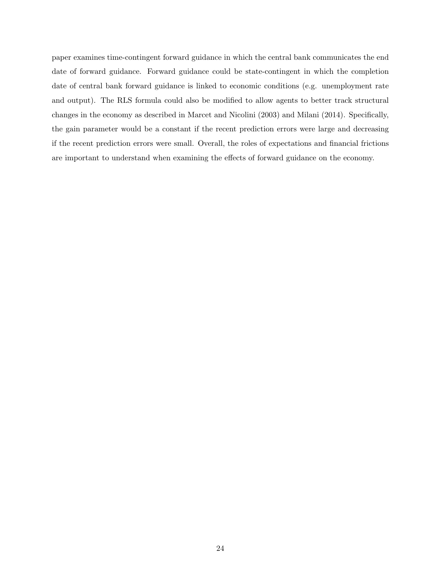paper examines time-contingent forward guidance in which the central bank communicates the end date of forward guidance. Forward guidance could be state-contingent in which the completion date of central bank forward guidance is linked to economic conditions (e.g. unemployment rate and output). The RLS formula could also be modified to allow agents to better track structural changes in the economy as described in Marcet and Nicolini (2003) and Milani (2014). Specifically, the gain parameter would be a constant if the recent prediction errors were large and decreasing if the recent prediction errors were small. Overall, the roles of expectations and financial frictions are important to understand when examining the effects of forward guidance on the economy.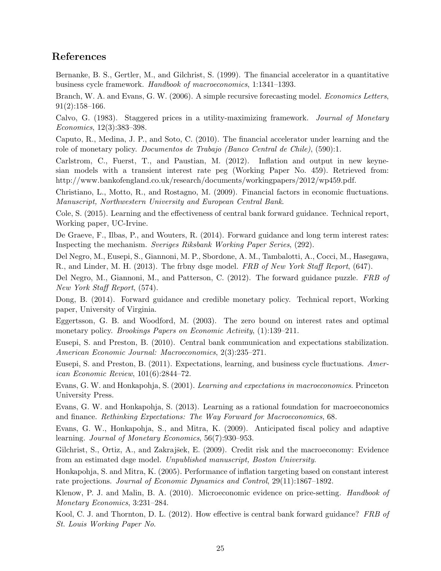### References

Bernanke, B. S., Gertler, M., and Gilchrist, S. (1999). The financial accelerator in a quantitative business cycle framework. Handbook of macroeconomics, 1:1341–1393.

Branch, W. A. and Evans, G. W. (2006). A simple recursive forecasting model. *Economics Letters*, 91(2):158–166.

Calvo, G. (1983). Staggered prices in a utility-maximizing framework. Journal of Monetary Economics, 12(3):383–398.

Caputo, R., Medina, J. P., and Soto, C. (2010). The financial accelerator under learning and the role of monetary policy. Documentos de Trabajo (Banco Central de Chile), (590):1.

Carlstrom, C., Fuerst, T., and Paustian, M. (2012). Inflation and output in new keynesian models with a transient interest rate peg (Working Paper No. 459). Retrieved from: http://www.bankofengland.co.uk/research/documents/workingpapers/2012/wp459.pdf.

Christiano, L., Motto, R., and Rostagno, M. (2009). Financial factors in economic fluctuations. Manuscript, Northwestern University and European Central Bank.

Cole, S. (2015). Learning and the effectiveness of central bank forward guidance. Technical report, Working paper, UC-Irvine.

De Graeve, F., Ilbas, P., and Wouters, R. (2014). Forward guidance and long term interest rates: Inspecting the mechanism. Sveriges Riksbank Working Paper Series, (292).

Del Negro, M., Eusepi, S., Giannoni, M. P., Sbordone, A. M., Tambalotti, A., Cocci, M., Hasegawa, R., and Linder, M. H. (2013). The frbny dsge model. FRB of New York Staff Report, (647).

Del Negro, M., Giannoni, M., and Patterson, C. (2012). The forward guidance puzzle. FRB of New York Staff Report, (574).

Dong, B. (2014). Forward guidance and credible monetary policy. Technical report, Working paper, University of Virginia.

Eggertsson, G. B. and Woodford, M. (2003). The zero bound on interest rates and optimal monetary policy. *Brookings Papers on Economic Activity*,  $(1)$ :139–211.

Eusepi, S. and Preston, B. (2010). Central bank communication and expectations stabilization. American Economic Journal: Macroeconomics, 2(3):235–271.

Eusepi, S. and Preston, B. (2011). Expectations, learning, and business cycle fluctuations. American Economic Review, 101(6):2844–72.

Evans, G. W. and Honkapohja, S. (2001). Learning and expectations in macroeconomics. Princeton University Press.

Evans, G. W. and Honkapohja, S. (2013). Learning as a rational foundation for macroeconomics and finance. Rethinking Expectations: The Way Forward for Macroeconomics, 68.

Evans, G. W., Honkapohja, S., and Mitra, K. (2009). Anticipated fiscal policy and adaptive learning. Journal of Monetary Economics, 56(7):930–953.

Gilchrist, S., Ortiz, A., and Zakrajšek, E. (2009). Credit risk and the macroeconomy: Evidence from an estimated dsge model. Unpublished manuscript, Boston University.

Honkapohja, S. and Mitra, K. (2005). Performance of inflation targeting based on constant interest rate projections. Journal of Economic Dynamics and Control, 29(11):1867–1892.

Klenow, P. J. and Malin, B. A. (2010). Microeconomic evidence on price-setting. Handbook of Monetary Economics, 3:231–284.

Kool, C. J. and Thornton, D. L. (2012). How effective is central bank forward guidance? FRB of St. Louis Working Paper No.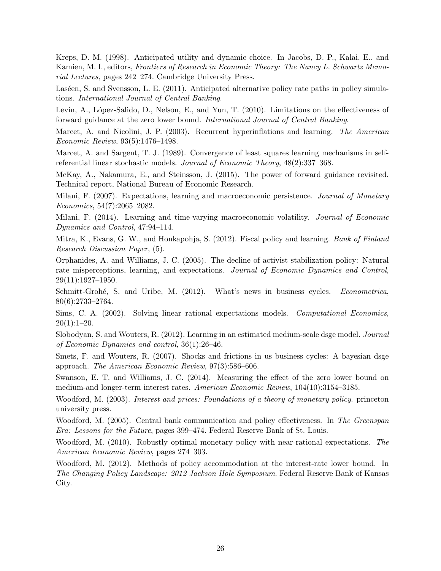Kreps, D. M. (1998). Anticipated utility and dynamic choice. In Jacobs, D. P., Kalai, E., and Kamien, M. I., editors, Frontiers of Research in Economic Theory: The Nancy L. Schwartz Memorial Lectures, pages 242–274. Cambridge University Press.

Laséen, S. and Svensson, L. E. (2011). Anticipated alternative policy rate paths in policy simulations. International Journal of Central Banking.

Levin, A., López-Salido, D., Nelson, E., and Yun, T. (2010). Limitations on the effectiveness of forward guidance at the zero lower bound. International Journal of Central Banking.

Marcet, A. and Nicolini, J. P. (2003). Recurrent hyperinflations and learning. The American Economic Review, 93(5):1476–1498.

Marcet, A. and Sargent, T. J. (1989). Convergence of least squares learning mechanisms in selfreferential linear stochastic models. Journal of Economic Theory, 48(2):337–368.

McKay, A., Nakamura, E., and Steinsson, J. (2015). The power of forward guidance revisited. Technical report, National Bureau of Economic Research.

Milani, F. (2007). Expectations, learning and macroeconomic persistence. *Journal of Monetary* Economics, 54(7):2065–2082.

Milani, F. (2014). Learning and time-varying macroeconomic volatility. Journal of Economic Dynamics and Control, 47:94–114.

Mitra, K., Evans, G. W., and Honkapohja, S. (2012). Fiscal policy and learning. *Bank of Finland* Research Discussion Paper, (5).

Orphanides, A. and Williams, J. C. (2005). The decline of activist stabilization policy: Natural rate misperceptions, learning, and expectations. Journal of Economic Dynamics and Control, 29(11):1927–1950.

Schmitt-Grohé, S. and Uribe, M. (2012). What's news in business cycles. Econometrica, 80(6):2733–2764.

Sims, C. A. (2002). Solving linear rational expectations models. Computational Economics,  $20(1):1-20.$ 

Slobodyan, S. and Wouters, R. (2012). Learning in an estimated medium-scale dsge model. *Journal* of Economic Dynamics and control, 36(1):26–46.

Smets, F. and Wouters, R. (2007). Shocks and frictions in us business cycles: A bayesian dsge approach. The American Economic Review, 97(3):586–606.

Swanson, E. T. and Williams, J. C. (2014). Measuring the effect of the zero lower bound on medium-and longer-term interest rates. American Economic Review, 104(10):3154–3185.

Woodford, M. (2003). Interest and prices: Foundations of a theory of monetary policy. princeton university press.

Woodford, M. (2005). Central bank communication and policy effectiveness. In The Greenspan Era: Lessons for the Future, pages 399–474. Federal Reserve Bank of St. Louis.

Woodford, M. (2010). Robustly optimal monetary policy with near-rational expectations. The American Economic Review, pages 274–303.

Woodford, M. (2012). Methods of policy accommodation at the interest-rate lower bound. In The Changing Policy Landscape: 2012 Jackson Hole Symposium. Federal Reserve Bank of Kansas City.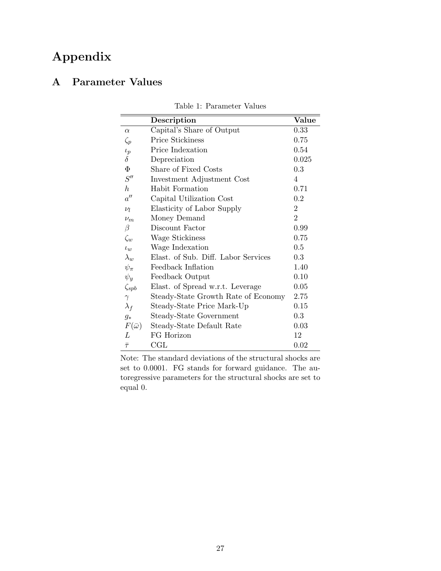## Appendix

## A Parameter Values

|                   | Description                         | Value          |
|-------------------|-------------------------------------|----------------|
| $\alpha$          | Capital's Share of Output           | 0.33           |
| $\zeta_p$         | <b>Price Stickiness</b>             | 0.75           |
| $\iota_p$         | Price Indexation                    | 0.54           |
| $\delta$          | Depreciation                        | 0.025          |
| $\Phi$            | Share of Fixed Costs                | 0.3            |
| S''               | Investment Adjustment Cost          | 4              |
| $\boldsymbol{h}$  | Habit Formation                     | 0.71           |
| a''               | Capital Utilization Cost            | 0.2            |
| $\nu_l$           | Elasticity of Labor Supply          | $\overline{2}$ |
| $\nu_m$           | Money Demand                        | $\overline{2}$ |
| $\beta$           | Discount Factor                     | 0.99           |
| $\zeta_w$         | Wage Stickiness                     | 0.75           |
| $t_{10}$          | Wage Indexation                     | 0.5            |
| $\lambda_w$       | Elast. of Sub. Diff. Labor Services | 0.3            |
| $\psi_\pi$        | Feedback Inflation                  | 1.40           |
| $\psi_y$          | Feedback Output                     | 0.10           |
| $\zeta_{spb}$     | Elast. of Spread w.r.t. Leverage    | 0.05           |
| $\gamma$          | Steady-State Growth Rate of Economy | 2.75           |
| $\lambda_f$       | Steady-State Price Mark-Up          | 0.15           |
| $g_*$             | Steady-State Government             | 0.3            |
| $F(\bar{\omega})$ | Steady-State Default Rate           | 0.03           |
| L                 | FG Horizon                          | 12             |
| $\bar{\tau}$      | CGL                                 | 0.02           |

Table 1: Parameter Values

Note: The standard deviations of the structural shocks are set to 0.0001. FG stands for forward guidance. The autoregressive parameters for the structural shocks are set to equal 0.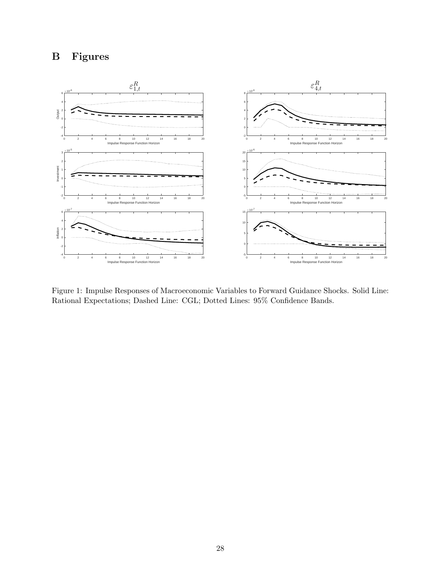

Figure 1: Impulse Responses of Macroeconomic Variables to Forward Guidance Shocks. Solid Line: Rational Expectations; Dashed Line: CGL; Dotted Lines: 95% Confidence Bands.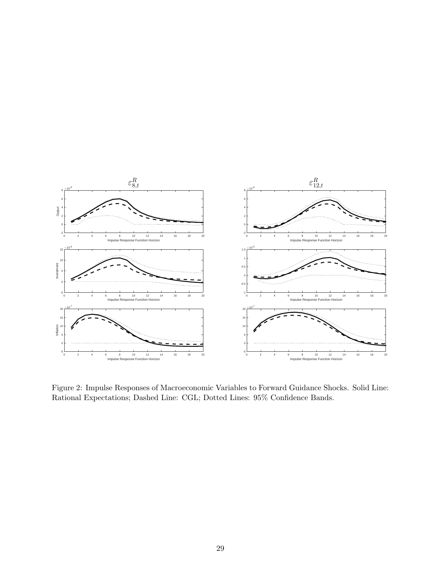

Figure 2: Impulse Responses of Macroeconomic Variables to Forward Guidance Shocks. Solid Line: Rational Expectations; Dashed Line: CGL; Dotted Lines: 95% Confidence Bands.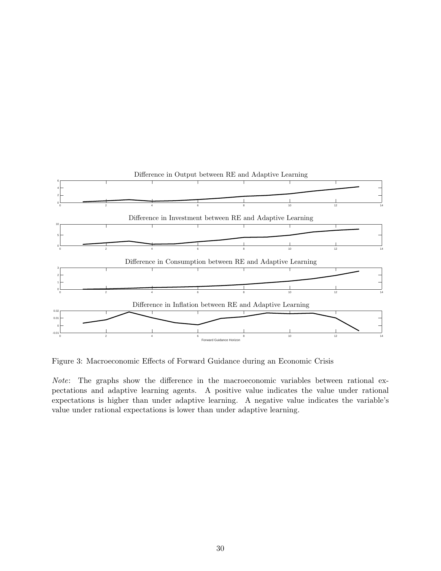

Figure 3: Macroeconomic Effects of Forward Guidance during an Economic Crisis

Note: The graphs show the difference in the macroeconomic variables between rational expectations and adaptive learning agents. A positive value indicates the value under rational expectations is higher than under adaptive learning. A negative value indicates the variable's value under rational expectations is lower than under adaptive learning.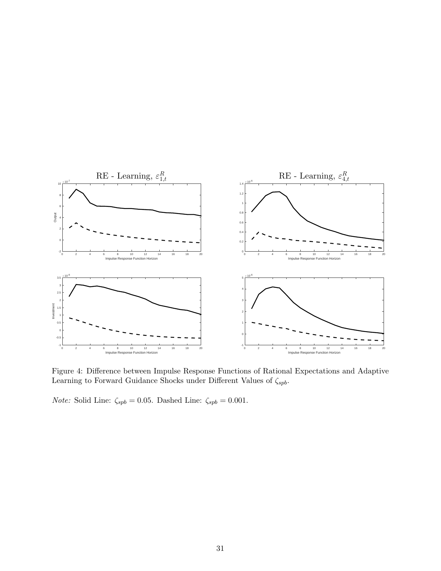

Figure 4: Difference between Impulse Response Functions of Rational Expectations and Adaptive Learning to Forward Guidance Shocks under Different Values of  $\zeta_{spb}.$ 

*Note:* Solid Line:  $\zeta_{spb} = 0.05$ . Dashed Line:  $\zeta_{spb} = 0.001$ .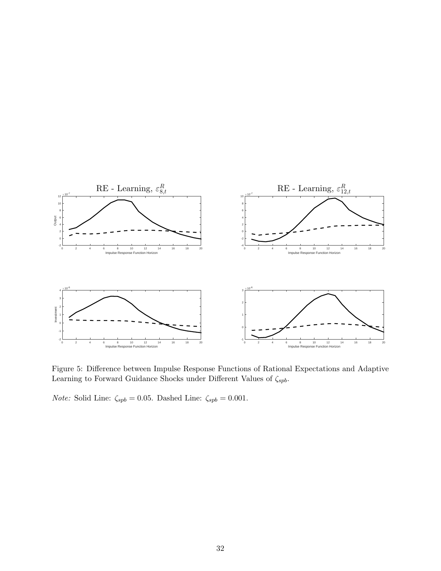

Figure 5: Difference between Impulse Response Functions of Rational Expectations and Adaptive Learning to Forward Guidance Shocks under Different Values of  $\zeta_{spb}.$ 

 $Note:$  Solid Line:  $\zeta_{spb}=0.05.$  Dashed Line:  $\zeta_{spb}=0.001.$